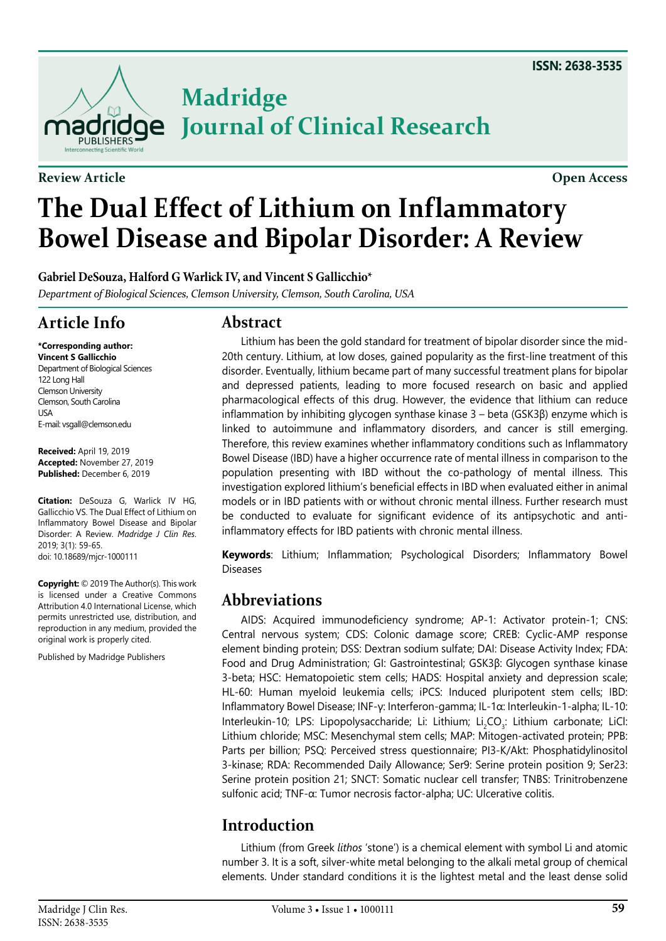

**Review Article Open Access**

# **The Dual Effect of Lithium on Inflammatory Bowel Disease and Bipolar Disorder: A Review**

**Journal of Clinical Research**

**Gabriel DeSouza, Halford G Warlick IV, and Vincent S Gallicchio\***

*Department of Biological Sciences, Clemson University, Clemson, South Carolina, USA*

**Madridge** 

# **Article Info**

**\*Corresponding author:**

**Vincent S Gallicchio** Department of Biological Sciences 122 Long Hall Clemson University Clemson, South Carolina USA E-mail: vsgall@clemson.edu

**Received:** April 19, 2019 **Accepted:** November 27, 2019 **Published:** December 6, 2019

**Citation:** DeSouza G, Warlick IV HG, Gallicchio VS. The Dual Effect of Lithium on Inflammatory Bowel Disease and Bipolar Disorder: A Review. *Madridge J Clin Res*. 2019; 3(1): 59-65. doi: [10.18689/mjcr-1000111](https://doi.org/10.18689/mjcr-1000111)

**Copyright:** © 2019 The Author(s). This work is licensed under a Creative Commons Attribution 4.0 International License, which permits unrestricted use, distribution, and reproduction in any medium, provided the original work is properly cited.

Published by Madridge Publishers

#### **Abstract**

Lithium has been the gold standard for treatment of bipolar disorder since the mid-20th century. Lithium, at low doses, gained popularity as the first-line treatment of this disorder. Eventually, lithium became part of many successful treatment plans for bipolar and depressed patients, leading to more focused research on basic and applied pharmacological effects of this drug. However, the evidence that lithium can reduce inflammation by inhibiting glycogen synthase kinase 3 – beta (GSK3β) enzyme which is linked to autoimmune and inflammatory disorders, and cancer is still emerging. Therefore, this review examines whether inflammatory conditions such as Inflammatory Bowel Disease (IBD) have a higher occurrence rate of mental illness in comparison to the population presenting with IBD without the co-pathology of mental illness. This investigation explored lithium's beneficial effects in IBD when evaluated either in animal models or in IBD patients with or without chronic mental illness. Further research must be conducted to evaluate for significant evidence of its antipsychotic and antiinflammatory effects for IBD patients with chronic mental illness.

**Keywords**: Lithium; Inflammation; Psychological Disorders; Inflammatory Bowel Diseases

# **Abbreviations**

AIDS: Acquired immunodeficiency syndrome; AP-1: Activator protein-1; CNS: Central nervous system; CDS: Colonic damage score; CREB: Cyclic-AMP response element binding protein; DSS: Dextran sodium sulfate; DAI: Disease Activity Index; FDA: Food and Drug Administration; GI: Gastrointestinal; GSK3β: Glycogen synthase kinase 3-beta; HSC: Hematopoietic stem cells; HADS: Hospital anxiety and depression scale; HL-60: Human myeloid leukemia cells; iPCS: Induced pluripotent stem cells; IBD: Inflammatory Bowel Disease; INF-γ: Interferon-gamma; IL-1α: Interleukin-1-alpha; IL-10: Interleukin-10; LPS: Lipopolysaccharide; Li: Lithium; Li<sub>2</sub>CO<sub>3</sub>: Lithium carbonate; LiCl: Lithium chloride; MSC: Mesenchymal stem cells; MAP: Mitogen-activated protein; PPB: Parts per billion; PSQ: Perceived stress questionnaire; PI3-K/Akt: Phosphatidylinositol 3-kinase; RDA: Recommended Daily Allowance; Ser9: Serine protein position 9; Ser23: Serine protein position 21; SNCT: Somatic nuclear cell transfer; TNBS: Trinitrobenzene sulfonic acid; TNF-α: Tumor necrosis factor-alpha; UC: Ulcerative colitis.

# **Introduction**

Lithium (from Greek *lithos* 'stone') is a chemical element with symbol Li and atomic number 3. It is a soft, silver-white metal belonging to the alkali metal group of chemical elements. Under standard conditions it is the lightest metal and the least dense solid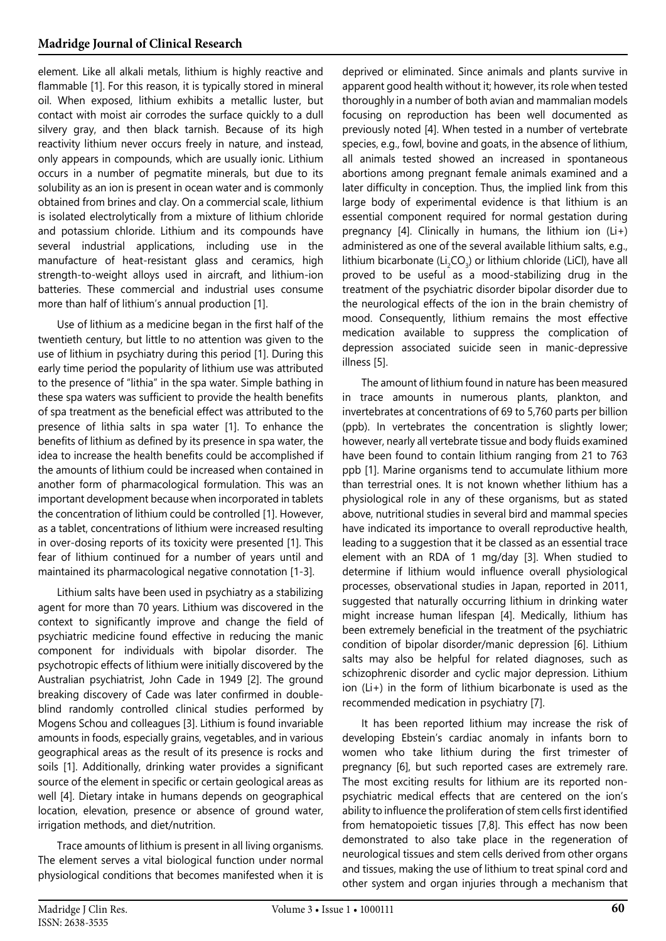element. Like all alkali metals, lithium is highly reactive and flammable [[1\]](#page-5-0). For this reason, it is typically stored in mineral oil. When exposed, lithium exhibits a metallic luster, but contact with moist air corrodes the surface quickly to a dull silvery gray, and then black tarnish. Because of its high reactivity lithium never occurs freely in nature, and instead, only appears in compounds, which are usually ionic. Lithium occurs in a number of pegmatite minerals, but due to its solubility as an ion is present in ocean water and is commonly obtained from brines and clay. On a commercial scale, lithium is isolated electrolytically from a mixture of lithium chloride and potassium chloride. Lithium and its compounds have several industrial applications, including use in the manufacture of heat-resistant glass and ceramics, high strength-to-weight alloys used in aircraft, and lithium-ion batteries. These commercial and industrial uses consume more than half of lithium's annual production [[1\]](#page-5-0).

Use of lithium as a medicine began in the first half of the twentieth century, but little to no attention was given to the use of lithium in psychiatry during this period [\[1](#page-5-0)]. During this early time period the popularity of lithium use was attributed to the presence of "lithia" in the spa water. Simple bathing in these spa waters was sufficient to provide the health benefits of spa treatment as the beneficial effect was attributed to the presence of lithia salts in spa water [[1](#page-5-0)]. To enhance the benefits of lithium as defined by its presence in spa water, the idea to increase the health benefits could be accomplished if the amounts of lithium could be increased when contained in another form of pharmacological formulation. This was an important development because when incorporated in tablets the concentration of lithium could be controlled [[1\]](#page-5-0). However, as a tablet, concentrations of lithium were increased resulting in over-dosing reports of its toxicity were presented [\[1\]](#page-5-0). This fear of lithium continued for a number of years until and maintained its pharmacological negative connotation [\[1-3](#page-5-0)].

Lithium salts have been used in psychiatry as a stabilizing agent for more than 70 years. Lithium was discovered in the context to significantly improve and change the field of psychiatric medicine found effective in reducing the manic component for individuals with bipolar disorder. The psychotropic effects of lithium were initially discovered by the Australian psychiatrist, John Cade in 1949 [[2](#page-5-1)]. The ground breaking discovery of Cade was later confirmed in doubleblind randomly controlled clinical studies performed by Mogens Schou and colleagues [[3\]](#page-5-2). Lithium is found invariable amounts in foods, especially grains, vegetables, and in various geographical areas as the result of its presence is rocks and soils [\[1\]](#page-5-0). Additionally, drinking water provides a significant source of the element in specific or certain geological areas as well [[4\]](#page-5-3). Dietary intake in humans depends on geographical location, elevation, presence or absence of ground water, irrigation methods, and diet/nutrition.

Trace amounts of lithium is present in all living organisms. The element serves a vital biological function under normal physiological conditions that becomes manifested when it is

deprived or eliminated. Since animals and plants survive in apparent good health without it; however, its role when tested thoroughly in a number of both avian and mammalian models focusing on reproduction has been well documented as previously noted [\[4\]](#page-5-3). When tested in a number of vertebrate species, e.g., fowl, bovine and goats, in the absence of lithium, all animals tested showed an increased in spontaneous abortions among pregnant female animals examined and a later difficulty in conception. Thus, the implied link from this large body of experimental evidence is that lithium is an essential component required for normal gestation during pregnancy [[4\]](#page-5-3). Clinically in humans, the lithium ion (Li+) administered as one of the several available lithium salts, e.g., lithium bicarbonate (Li<sub>2</sub>CO<sub>3</sub>) or lithium chloride (LiCl), have all proved to be useful as a mood-stabilizing drug in the treatment of the psychiatric disorder bipolar disorder due to the neurological effects of the ion in the brain chemistry of mood. Consequently, lithium remains the most effective medication available to suppress the complication of depression associated suicide seen in manic-depressive illness [[5](#page-5-4)].

The amount of lithium found in nature has been measured in trace amounts in numerous plants, plankton, and invertebrates at concentrations of 69 to 5,760 parts per billion (ppb). In vertebrates the concentration is slightly lower; however, nearly all vertebrate tissue and body fluids examined have been found to contain lithium ranging from 21 to 763 ppb [\[1](#page-5-0)]. Marine organisms tend to accumulate lithium more than terrestrial ones. It is not known whether lithium has a physiological role in any of these organisms, but as stated above, nutritional studies in several bird and mammal species have indicated its importance to overall reproductive health, leading to a suggestion that it be classed as an essential trace element with an RDA of 1 mg/day [\[3\]](#page-5-2). When studied to determine if lithium would influence overall physiological processes, observational studies in Japan, reported in 2011, suggested that naturally occurring lithium in drinking water might increase human lifespan [\[4](#page-5-3)]. Medically, lithium has been extremely beneficial in the treatment of the psychiatric condition of bipolar disorder/manic depression [[6](#page-5-5)]. Lithium salts may also be helpful for related diagnoses, such as schizophrenic disorder and cyclic major depression. Lithium ion (Li+) in the form of lithium bicarbonate is used as the recommended medication in psychiatry [\[7](#page-5-6)].

It has been reported lithium may increase the risk of developing Ebstein's cardiac anomaly in infants born to women who take lithium during the first trimester of pregnancy [\[6](#page-5-5)], but such reported cases are extremely rare. The most exciting results for lithium are its reported nonpsychiatric medical effects that are centered on the ion's ability to influence the proliferation of stem cells first identified from hematopoietic tissues [\[7](#page-5-6)[,8](#page-5-7)]. This effect has now been demonstrated to also take place in the regeneration of neurological tissues and stem cells derived from other organs and tissues, making the use of lithium to treat spinal cord and other system and organ injuries through a mechanism that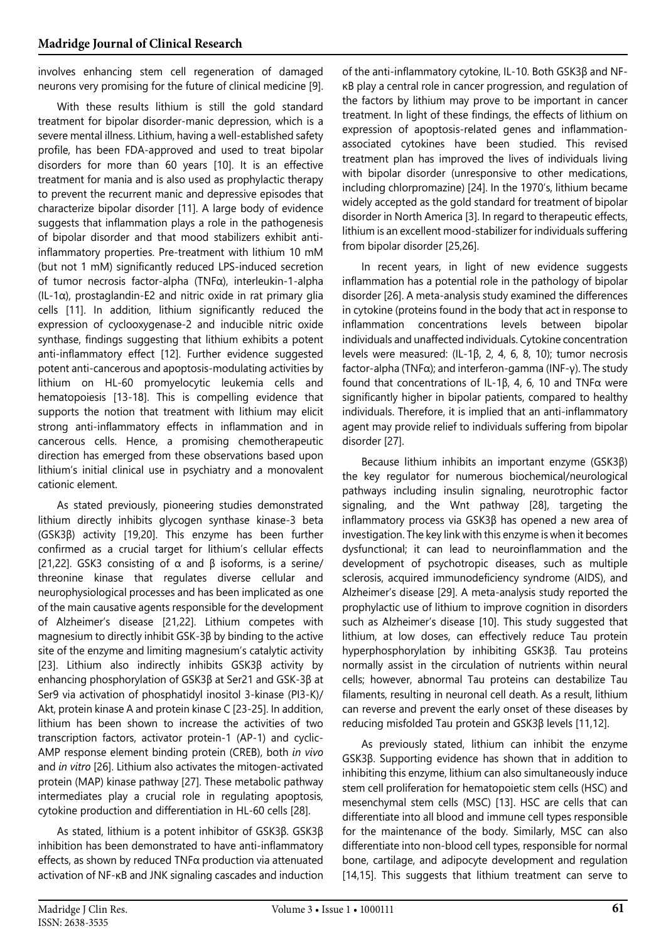involves enhancing stem cell regeneration of damaged neurons very promising for the future of clinical medicine [\[9](#page-5-8)].

With these results lithium is still the gold standard treatment for bipolar disorder-manic depression, which is a severe mental illness. Lithium, having a well-established safety profile, has been FDA-approved and used to treat bipolar disorders for more than 60 years [[10](#page-5-9)]. It is an effective treatment for mania and is also used as prophylactic therapy to prevent the recurrent manic and depressive episodes that characterize bipolar disorder [[11](#page-5-10)]. A large body of evidence suggests that inflammation plays a role in the pathogenesis of bipolar disorder and that mood stabilizers exhibit antiinflammatory properties. Pre-treatment with lithium 10 mM (but not 1 mM) significantly reduced LPS-induced secretion of tumor necrosis factor-alpha (TNFα), interleukin-1-alpha  $(IL-1\alpha)$ , prostaglandin-E2 and nitric oxide in rat primary glia cells [[11\]](#page-5-10). In addition, lithium significantly reduced the expression of cyclooxygenase-2 and inducible nitric oxide synthase, findings suggesting that lithium exhibits a potent anti-inflammatory effect [[12\]](#page-5-11). Further evidence suggested potent anti-cancerous and apoptosis-modulating activities by lithium on HL-60 promyelocytic leukemia cells and hematopoiesis [\[13-](#page-5-12)[18\]](#page-6-0). This is compelling evidence that supports the notion that treatment with lithium may elicit strong anti-inflammatory effects in inflammation and in cancerous cells. Hence, a promising chemotherapeutic direction has emerged from these observations based upon lithium's initial clinical use in psychiatry and a monovalent cationic element.

As stated previously, pioneering studies demonstrated lithium directly inhibits glycogen synthase kinase-3 beta (GSK3β) activity [[19,](#page-6-1)[20](#page-6-2)]. This enzyme has been further confirmed as a crucial target for lithium's cellular effects [[21](#page-6-3)[,22](#page-6-4)]. GSK3 consisting of  $\alpha$  and  $\beta$  isoforms, is a serine/ threonine kinase that regulates diverse cellular and neurophysiological processes and has been implicated as one of the main causative agents responsible for the development of Alzheimer's disease [[21](#page-6-3)[,22\]](#page-6-4). Lithium competes with magnesium to directly inhibit GSK-3β by binding to the active site of the enzyme and limiting magnesium's catalytic activity [[23](#page-6-5)]. Lithium also indirectly inhibits GSK3β activity by enhancing phosphorylation of GSK3β at Ser21 and GSK-3β at Ser9 via activation of phosphatidyl inositol 3-kinase (PI3-K)/ Akt, protein kinase A and protein kinase C [[23](#page-6-5)-[25](#page-6-6)]. In addition, lithium has been shown to increase the activities of two transcription factors, activator protein-1 (AP-1) and cyclic-AMP response element binding protein (CREB), both *in vivo*  and *in vitro* [[26\]](#page-6-7). Lithium also activates the mitogen-activated protein (MAP) kinase pathway [\[27](#page-6-8)]. These metabolic pathway intermediates play a crucial role in regulating apoptosis, cytokine production and differentiation in HL-60 cells [[28\]](#page-6-9).

As stated, lithium is a potent inhibitor of GSK3β. GSK3β inhibition has been demonstrated to have anti-inflammatory effects, as shown by reduced TNFα production via attenuated activation of NF-κB and JNK signaling cascades and induction

of the anti-inflammatory cytokine, IL-10. Both GSK3β and NFκB play a central role in cancer progression, and regulation of the factors by lithium may prove to be important in cancer treatment. In light of these findings, the effects of lithium on expression of apoptosis-related genes and inflammationassociated cytokines have been studied. This revised treatment plan has improved the lives of individuals living with bipolar disorder (unresponsive to other medications, including chlorpromazine) [[24](#page-6-10)]. In the 1970's, lithium became widely accepted as the gold standard for treatment of bipolar disorder in North America [[3\]](#page-5-2). In regard to therapeutic effects, lithium is an excellent mood-stabilizer for individuals suffering from bipolar disorder [[25](#page-6-6)[,26\]](#page-6-7).

In recent years, in light of new evidence suggests inflammation has a potential role in the pathology of bipolar disorder [[26](#page-6-7)]. A meta-analysis study examined the differences in cytokine (proteins found in the body that act in response to inflammation concentrations levels between bipolar individuals and unaffected individuals. Cytokine concentration levels were measured: (IL-1β, 2, 4, 6, 8, 10); tumor necrosis factor-alpha (TNFα); and interferon-gamma (INF-γ). The study found that concentrations of IL-1β, 4, 6, 10 and TNFα were significantly higher in bipolar patients, compared to healthy individuals. Therefore, it is implied that an anti-inflammatory agent may provide relief to individuals suffering from bipolar disorder [\[27\]](#page-6-8).

Because lithium inhibits an important enzyme (GSK3β) the key regulator for numerous biochemical/neurological pathways including insulin signaling, neurotrophic factor signaling, and the Wnt pathway [\[28](#page-6-9)], targeting the inflammatory process via GSK3β has opened a new area of investigation. The key link with this enzyme is when it becomes dysfunctional; it can lead to neuroinflammation and the development of psychotropic diseases, such as multiple sclerosis, acquired immunodeficiency syndrome (AIDS), and Alzheimer's disease [\[29](#page-6-11)]. A meta-analysis study reported the prophylactic use of lithium to improve cognition in disorders such as Alzheimer's disease [\[10](#page-5-9)]. This study suggested that lithium, at low doses, can effectively reduce Tau protein hyperphosphorylation by inhibiting GSK3β. Tau proteins normally assist in the circulation of nutrients within neural cells; however, abnormal Tau proteins can destabilize Tau filaments, resulting in neuronal cell death. As a result, lithium can reverse and prevent the early onset of these diseases by reducing misfolded Tau protein and GSK3β levels [\[11,](#page-5-10)[12](#page-5-11)].

As previously stated, lithium can inhibit the enzyme GSK3β. Supporting evidence has shown that in addition to inhibiting this enzyme, lithium can also simultaneously induce stem cell proliferation for hematopoietic stem cells (HSC) and mesenchymal stem cells (MSC) [[13](#page-5-12)]. HSC are cells that can differentiate into all blood and immune cell types responsible for the maintenance of the body. Similarly, MSC can also differentiate into non-blood cell types, responsible for normal bone, cartilage, and adipocyte development and regulation [\[14](#page-5-13)[,15\]](#page-5-14). This suggests that lithium treatment can serve to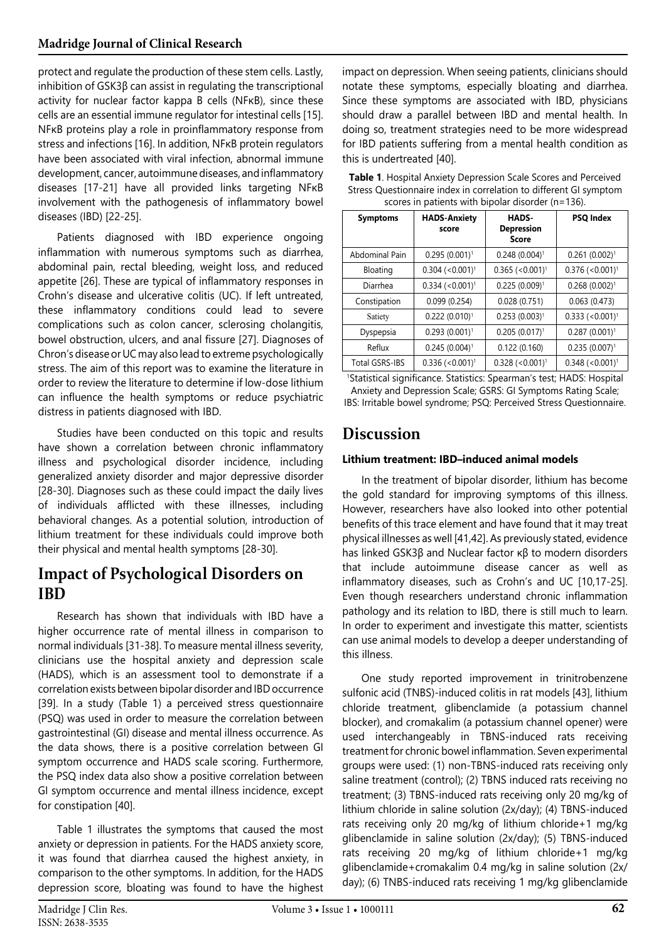protect and regulate the production of these stem cells. Lastly, inhibition of GSK3β can assist in regulating the transcriptional activity for nuclear factor kappa B cells (NFκB), since these cells are an essential immune regulator for intestinal cells [[15](#page-5-14)]. NFκB proteins play a role in proinflammatory response from stress and infections [\[16\]](#page-5-15). In addition, NFκB protein regulators have been associated with viral infection, abnormal immune development, cancer, autoimmune diseases, and inflammatory diseases [[17](#page-5-16)[-21](#page-6-3)] have all provided links targeting NFκB involvement with the pathogenesis of inflammatory bowel diseases (IBD) [\[22](#page-6-4)[-25](#page-6-6)].

Patients diagnosed with IBD experience ongoing inflammation with numerous symptoms such as diarrhea, abdominal pain, rectal bleeding, weight loss, and reduced appetite [[26\]](#page-6-7). These are typical of inflammatory responses in Crohn's disease and ulcerative colitis (UC). If left untreated, these inflammatory conditions could lead to severe complications such as colon cancer, sclerosing cholangitis, bowel obstruction, ulcers, and anal fissure [\[27](#page-6-8)]. Diagnoses of Chron's disease or UC may also lead to extreme psychologically stress. The aim of this report was to examine the literature in order to review the literature to determine if low-dose lithium can influence the health symptoms or reduce psychiatric distress in patients diagnosed with IBD.

Studies have been conducted on this topic and results have shown a correlation between chronic inflammatory illness and psychological disorder incidence, including generalized anxiety disorder and major depressive disorder [[28](#page-6-9)-[30](#page-6-12)]. Diagnoses such as these could impact the daily lives of individuals afflicted with these illnesses, including behavioral changes. As a potential solution, introduction of lithium treatment for these individuals could improve both their physical and mental health symptoms [\[28](#page-6-9)[-30\]](#page-6-12).

#### **Impact of Psychological Disorders on IBD**

Research has shown that individuals with IBD have a higher occurrence rate of mental illness in comparison to normal individuals [\[31](#page-6-13)[-38](#page-6-14)]. To measure mental illness severity, clinicians use the hospital anxiety and depression scale (HADS), which is an assessment tool to demonstrate if a correlation exists between bipolar disorder and IBD occurrence [[39](#page-6-15)]. In a study (Table 1) a perceived stress questionnaire (PSQ) was used in order to measure the correlation between gastrointestinal (GI) disease and mental illness occurrence. As the data shows, there is a positive correlation between GI symptom occurrence and HADS scale scoring. Furthermore, the PSQ index data also show a positive correlation between GI symptom occurrence and mental illness incidence, except for constipation [[40\]](#page-6-16).

Table 1 illustrates the symptoms that caused the most anxiety or depression in patients. For the HADS anxiety score, it was found that diarrhea caused the highest anxiety, in comparison to the other symptoms. In addition, for the HADS depression score, bloating was found to have the highest impact on depression. When seeing patients, clinicians should notate these symptoms, especially bloating and diarrhea. Since these symptoms are associated with IBD, physicians should draw a parallel between IBD and mental health. In doing so, treatment strategies need to be more widespread for IBD patients suffering from a mental health condition as this is undertreated [[40](#page-6-16)].

| <b>Table 1.</b> Hospital Anxiety Depression Scale Scores and Perceived |
|------------------------------------------------------------------------|
| Stress Questionnaire index in correlation to different GI symptom      |
| scores in patients with bipolar disorder (n=136).                      |

| <b>Symptoms</b>       | <b>HADS-Anxiety</b><br>score  | HADS-<br><b>Depression</b><br><b>Score</b> | <b>PSQ Index</b>              |
|-----------------------|-------------------------------|--------------------------------------------|-------------------------------|
| Abdominal Pain        | $0.295(0.001)^1$              | $0.248(0.004)^1$                           | $0.261 (0.002)^1$             |
| <b>Bloating</b>       | $0.304$ (<0.001) <sup>1</sup> | $0.365$ (<0.001) <sup>1</sup>              | $0.376$ (<0.001) <sup>1</sup> |
| Diarrhea              | $0.334$ (<0.001) <sup>1</sup> | $0.225(0.009)^1$                           | $0.268(0.002)^1$              |
| Constipation          | 0.099(0.254)                  | 0.028(0.751)                               | 0.063(0.473)                  |
| Satiety               | $0.222(0.010)^1$              | $0.253(0.003)^1$                           | $0.333$ (<0.001) <sup>1</sup> |
| Dyspepsia             | $0.293(0.001)^1$              | $0.205(0.017)^1$                           | $0.287(0.001)^1$              |
| Reflux                | $0.245(0.004)^1$              | 0.122(0.160)                               | $0.235(0.007)^1$              |
| <b>Total GSRS-IBS</b> | $0.336$ (<0.001) <sup>1</sup> | $0.328$ (<0.001) <sup>1</sup>              | $0.348$ (<0.001) <sup>1</sup> |

1 Statistical significance. Statistics: Spearman's test; HADS: Hospital Anxiety and Depression Scale; GSRS: GI Symptoms Rating Scale; IBS: Irritable bowel syndrome; PSQ: Perceived Stress Questionnaire.

### **Discussion**

#### **Lithium treatment: IBD–induced animal models**

In the treatment of bipolar disorder, lithium has become the gold standard for improving symptoms of this illness. However, researchers have also looked into other potential benefits of this trace element and have found that it may treat physical illnesses as well [\[41](#page-6-17)[,42\]](#page-6-18). As previously stated, evidence has linked GSK3β and Nuclear factor κβ to modern disorders that include autoimmune disease cancer as well as inflammatory diseases, such as Crohn's and UC [10,17-25]. Even though researchers understand chronic inflammation pathology and its relation to IBD, there is still much to learn. In order to experiment and investigate this matter, scientists can use animal models to develop a deeper understanding of this illness.

One study reported improvement in trinitrobenzene sulfonic acid (TNBS)-induced colitis in rat models [[43\]](#page-6-19), lithium chloride treatment, glibenclamide (a potassium channel blocker), and cromakalim (a potassium channel opener) were used interchangeably in TBNS-induced rats receiving treatment for chronic bowel inflammation. Seven experimental groups were used: (1) non-TBNS-induced rats receiving only saline treatment (control); (2) TBNS induced rats receiving no treatment; (3) TBNS-induced rats receiving only 20 mg/kg of lithium chloride in saline solution (2x/day); (4) TBNS-induced rats receiving only 20 mg/kg of lithium chloride+1 mg/kg glibenclamide in saline solution (2x/day); (5) TBNS-induced rats receiving 20 mg/kg of lithium chloride+1 mg/kg glibenclamide+cromakalim 0.4 mg/kg in saline solution (2x/ day); (6) TNBS-induced rats receiving 1 mg/kg glibenclamide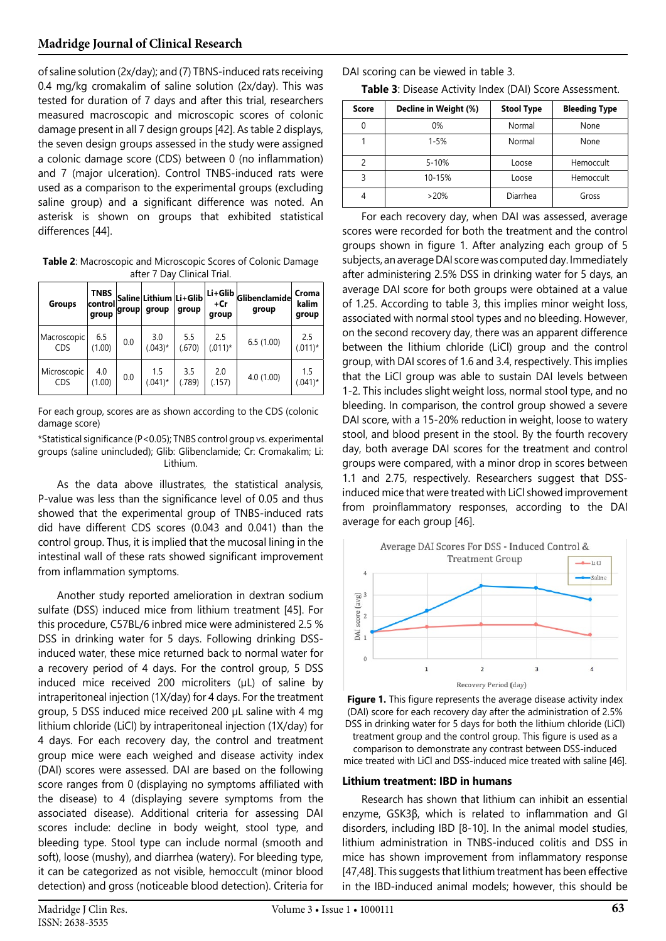of saline solution (2x/day); and (7) TBNS-induced rats receiving 0.4 mg/kg cromakalim of saline solution (2x/day). This was tested for duration of 7 days and after this trial, researchers measured macroscopic and microscopic scores of colonic damage present in all 7 design groups [[42](#page-6-18)]. As table 2 displays, the seven design groups assessed in the study were assigned a colonic damage score (CDS) between 0 (no inflammation) and 7 (major ulceration). Control TNBS-induced rats were used as a comparison to the experimental groups (excluding saline group) and a significant difference was noted. An asterisk is shown on groups that exhibited statistical differences [\[44\]](#page-6-20).

**Table 2**: Macroscopic and Microscopic Scores of Colonic Damage after 7 Day Clinical Trial.

| <b>Groups</b>             | <b>TNBS</b><br> control <br>group | group | Saline Lithium Li+Glib<br>group | group         | Li+Glib<br>+Cr<br>group | Glibenclamide<br>group | Croma<br>kalim<br>group |
|---------------------------|-----------------------------------|-------|---------------------------------|---------------|-------------------------|------------------------|-------------------------|
| Macroscopic<br><b>CDS</b> | 6.5<br>(1.00)                     | 0.0   | 3.0<br>$(.043)*$                | 5.5<br>(.670) | 2.5<br>$(.011)^*$       | 6.5(1.00)              | 2.5<br>$(.011)^*$       |
| Microscopic<br><b>CDS</b> | 4.0<br>(1.00)                     | 0.0   | 1.5<br>$(.041)^*$               | 3.5<br>(.789) | 2.0<br>(.157)           | 4.0(1.00)              | 1.5<br>$(.041)$ *       |

For each group, scores are as shown according to the CDS (colonic damage score)

\*Statistical significance (P<0.05); TNBS control group vs. experimental groups (saline unincluded); Glib: Glibenclamide; Cr: Cromakalim; Li: Lithium.

As the data above illustrates, the statistical analysis, P-value was less than the significance level of 0.05 and thus showed that the experimental group of TNBS-induced rats did have different CDS scores (0.043 and 0.041) than the control group. Thus, it is implied that the mucosal lining in the intestinal wall of these rats showed significant improvement from inflammation symptoms.

Another study reported amelioration in dextran sodium sulfate (DSS) induced mice from lithium treatment [45]. For this procedure, C57BL/6 inbred mice were administered 2.5 % DSS in drinking water for 5 days. Following drinking DSSinduced water, these mice returned back to normal water for a recovery period of 4 days. For the control group, 5 DSS induced mice received 200 microliters (µL) of saline by intraperitoneal injection (1X/day) for 4 days. For the treatment group, 5 DSS induced mice received 200 µL saline with 4 mg lithium chloride (LiCl) by intraperitoneal injection (1X/day) for 4 days. For each recovery day, the control and treatment group mice were each weighed and disease activity index (DAI) scores were assessed. DAI are based on the following score ranges from 0 (displaying no symptoms affiliated with the disease) to 4 (displaying severe symptoms from the associated disease). Additional criteria for assessing DAI scores include: decline in body weight, stool type, and bleeding type. Stool type can include normal (smooth and soft), loose (mushy), and diarrhea (watery). For bleeding type, it can be categorized as not visible, hemoccult (minor blood detection) and gross (noticeable blood detection). Criteria for

DAI scoring can be viewed in table 3.

**Table 3**: Disease Activity Index (DAI) Score Assessment.

| Score    | Decline in Weight (%) | <b>Stool Type</b> | <b>Bleeding Type</b> |
|----------|-----------------------|-------------------|----------------------|
| $\Omega$ | 0%                    | Normal            | None                 |
|          | $1 - 5%$              | Normal            | None                 |
|          | $5 - 10%$             | Loose             | Hemoccult            |
| 3        | 10-15%                | Loose             | Hemoccult            |
| 4        | >20%                  | Diarrhea          | Gross                |

For each recovery day, when DAI was assessed, average scores were recorded for both the treatment and the control groups shown in figure 1. After analyzing each group of 5 subjects, an average DAI score was computed day. Immediately after administering 2.5% DSS in drinking water for 5 days, an average DAI score for both groups were obtained at a value of 1.25. According to table 3, this implies minor weight loss, associated with normal stool types and no bleeding. However, on the second recovery day, there was an apparent difference between the lithium chloride (LiCl) group and the control group, with DAI scores of 1.6 and 3.4, respectively. This implies that the LiCl group was able to sustain DAI levels between 1-2. This includes slight weight loss, normal stool type, and no bleeding. In comparison, the control group showed a severe DAI score, with a 15-20% reduction in weight, loose to watery stool, and blood present in the stool. By the fourth recovery day, both average DAI scores for the treatment and control groups were compared, with a minor drop in scores between 1.1 and 2.75, respectively. Researchers suggest that DSSinduced mice that were treated with LiCl showed improvement from proinflammatory responses, according to the DAI average for each group [46].





comparison to demonstrate any contrast between DSS-induced mice treated with LiCl and DSS-induced mice treated with saline [\[46](#page-6-21)].

#### **Lithium treatment: IBD in humans**

Research has shown that lithium can inhibit an essential enzyme, GSK3β, which is related to inflammation and GI disorders, including IBD [\[8](#page-5-7)-[10](#page-5-9)]. In the animal model studies, lithium administration in TNBS-induced colitis and DSS in mice has shown improvement from inflammatory response [\[47](#page-6-22)[,48\]](#page-6-23). This suggests that lithium treatment has been effective in the IBD-induced animal models; however, this should be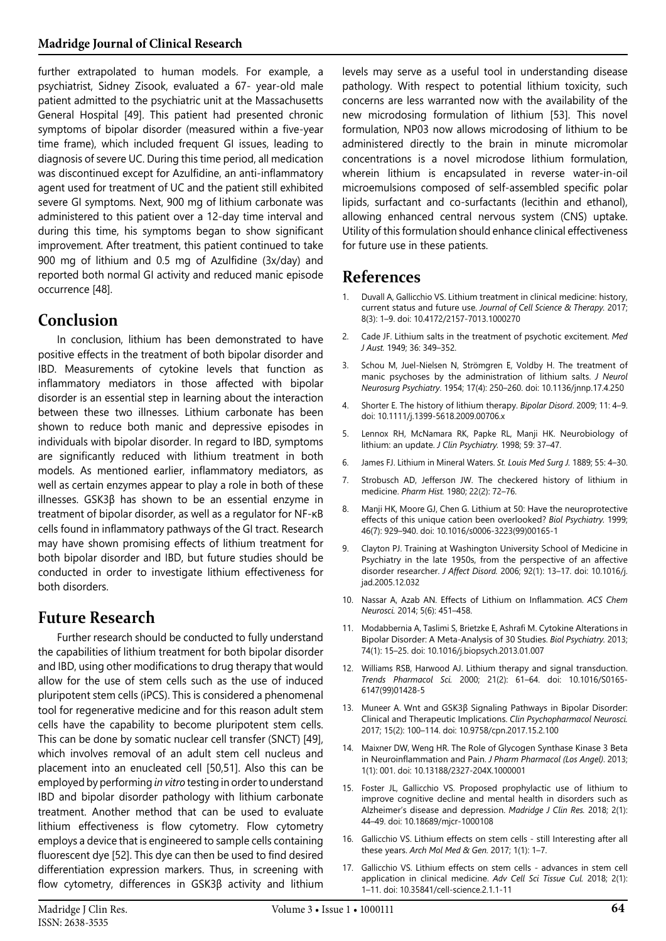further extrapolated to human models. For example, a psychiatrist, Sidney Zisook, evaluated a 67- year-old male patient admitted to the psychiatric unit at the Massachusetts General Hospital [[49](#page-6-24)]. This patient had presented chronic symptoms of bipolar disorder (measured within a five-year time frame), which included frequent GI issues, leading to diagnosis of severe UC. During this time period, all medication was discontinued except for Azulfidine, an anti-inflammatory agent used for treatment of UC and the patient still exhibited severe GI symptoms. Next, 900 mg of lithium carbonate was administered to this patient over a 12-day time interval and during this time, his symptoms began to show significant improvement. After treatment, this patient continued to take 900 mg of lithium and 0.5 mg of Azulfidine (3x/day) and reported both normal GI activity and reduced manic episode occurrence [48].

## **Conclusion**

In conclusion, lithium has been demonstrated to have positive effects in the treatment of both bipolar disorder and IBD. Measurements of cytokine levels that function as inflammatory mediators in those affected with bipolar disorder is an essential step in learning about the interaction between these two illnesses. Lithium carbonate has been shown to reduce both manic and depressive episodes in individuals with bipolar disorder. In regard to IBD, symptoms are significantly reduced with lithium treatment in both models. As mentioned earlier, inflammatory mediators, as well as certain enzymes appear to play a role in both of these illnesses. GSK3β has shown to be an essential enzyme in treatment of bipolar disorder, as well as a regulator for NF-κB cells found in inflammatory pathways of the GI tract. Research may have shown promising effects of lithium treatment for both bipolar disorder and IBD, but future studies should be conducted in order to investigate lithium effectiveness for both disorders.

# **Future Research**

Further research should be conducted to fully understand the capabilities of lithium treatment for both bipolar disorder and IBD, using other modifications to drug therapy that would allow for the use of stem cells such as the use of induced pluripotent stem cells (iPCS). This is considered a phenomenal tool for regenerative medicine and for this reason adult stem cells have the capability to become pluripotent stem cells. This can be done by somatic nuclear cell transfer (SNCT) [[49](#page-6-24)], which involves removal of an adult stem cell nucleus and placement into an enucleated cell [\[50,](#page-6-25)[51](#page-6-26)]. Also this can be employed by performing *in vitro* testing in order to understand IBD and bipolar disorder pathology with lithium carbonate treatment. Another method that can be used to evaluate lithium effectiveness is flow cytometry. Flow cytometry employs a device that is engineered to sample cells containing fluorescent dye [[52](#page-6-27)]. This dye can then be used to find desired differentiation expression markers. Thus, in screening with flow cytometry, differences in GSK3β activity and lithium

levels may serve as a useful tool in understanding disease pathology. With respect to potential lithium toxicity, such concerns are less warranted now with the availability of the new microdosing formulation of lithium [[53](#page-6-28)]. This novel formulation, NP03 now allows microdosing of lithium to be administered directly to the brain in minute micromolar concentrations is a novel microdose lithium formulation, wherein lithium is encapsulated in reverse water-in-oil microemulsions composed of self-assembled specific polar lipids, surfactant and co-surfactants (lecithin and ethanol), allowing enhanced central nervous system (CNS) uptake. Utility of this formulation should enhance clinical effectiveness for future use in these patients.

### **References**

- <span id="page-5-0"></span>1. Duvall A, Gallicchio VS. [Lithium treatment in clinical medicine: history,](https://www.longdom.org/abstract/lithium-treatment-in-clinical-medicine-history-current-status-andfuture-use-36461.html) [current status and future use](https://www.longdom.org/abstract/lithium-treatment-in-clinical-medicine-history-current-status-andfuture-use-36461.html). *Journal of Cell Science & Therapy.* 2017; 8(3): 1–9. doi: 10.4172/2157-7013.1000270
- <span id="page-5-1"></span>2. Cade JF. [Lithium salts in the treatment of psychotic excitement](https://www.ncbi.nlm.nih.gov/pmc/articles/PMC2560740/pdf/10885180.pdf). *Med J Aust.* 1949; 36: 349–352.
- <span id="page-5-2"></span>3. Schou M, Juel-Nielsen N, Strömgren E, Voldby H. [The treatment of](https://www.ncbi.nlm.nih.gov/pmc/articles/PMC503195/) [manic psychoses by the administration of lithium salts.](https://www.ncbi.nlm.nih.gov/pmc/articles/PMC503195/) *J Neurol Neurosurg Psychiatry*. 1954; 17(4): 250–260. doi: 10.1136/jnnp.17.4.250
- <span id="page-5-3"></span>4. Shorter E. [The history of lithium therapy.](https://www.ncbi.nlm.nih.gov/pubmed/19538681) *Bipolar Disord*. 2009; 11: 4–9. doi: 10.1111/j.1399-5618.2009.00706.x
- <span id="page-5-4"></span>5. Lennox RH, McNamara RK, Papke RL, Manji HK. [Neurobiology of](https://www.ncbi.nlm.nih.gov/pubmed/9674936) [lithium: an update](https://www.ncbi.nlm.nih.gov/pubmed/9674936). *J Clin Psychiatry.* 1998; 59: 37–47.
- <span id="page-5-5"></span>6. James FJ. Lithium in Mineral Waters. *St. Louis Med Surg J.* 1889; 55: 4–30.
- <span id="page-5-6"></span>7. Strobusch AD, Jefferson JW. [The checkered history of lithium in](https://www.jstor.org/stable/41109216?seq=1) [medicine](https://www.jstor.org/stable/41109216?seq=1). *Pharm Hist.* 1980; 22(2): 72–76.
- <span id="page-5-7"></span>8. Manji HK, Moore GJ, Chen G. [Lithium at 50: Have the neuroprotective](https://www.ncbi.nlm.nih.gov/pubmed/10509176) [effects of this unique cation been overlooked?](https://www.ncbi.nlm.nih.gov/pubmed/10509176) *Biol Psychiatry.* 1999; 46(7): 929–940. doi: 10.1016/s0006-3223(99)00165-1
- <span id="page-5-8"></span>9. Clayton PJ. [Training at Washington University School of Medicine in](https://www.sciencedirect.com/science/article/abs/pii/S0165032705004003) [Psychiatry in the late 1950s, from the perspective of an affective](https://www.sciencedirect.com/science/article/abs/pii/S0165032705004003) [disorder researcher.](https://www.sciencedirect.com/science/article/abs/pii/S0165032705004003) *J Affect Disord.* 2006; 92(1): 13–17. doi: 10.1016/j. jad.2005.12.032
- <span id="page-5-9"></span>10. Nassar A, Azab AN. [Effects of Lithium on Inflammation](https://www.ncbi.nlm.nih.gov/pmc/articles/PMC4063502/). *ACS Chem Neurosci.* 2014; 5(6): 451–458.
- <span id="page-5-10"></span>11. Modabbernia A, Taslimi S, Brietzke E, Ashrafi M. [Cytokine Alterations in](https://www.ncbi.nlm.nih.gov/pubmed/23419545) [Bipolar Disorder: A Meta-Analysis of 30 Studies](https://www.ncbi.nlm.nih.gov/pubmed/23419545). *Biol Psychiatry.* 2013; 74(1): 15–25. doi: 10.1016/j.biopsych.2013.01.007
- <span id="page-5-11"></span>12. Williams RSB, Harwood AJ. [Lithium therapy and signal transduction.](https://www.sciencedirect.com/science/article/abs/pii/S0165614799014285) *Trends Pharmacol Sci.* 2000; 21(2): 61–64. doi: 10.1016/S0165- 6147(99)01428-5
- <span id="page-5-12"></span>13. Muneer A. [Wnt and GSK3β Signaling Pathways in Bipolar Disorder:](https://www.ncbi.nlm.nih.gov/pubmed/28449557) [Clinical and Therapeutic Implications](https://www.ncbi.nlm.nih.gov/pubmed/28449557). *Clin Psychopharmacol Neurosci.*  2017; 15(2): 100–114. doi: 10.9758/cpn.2017.15.2.100
- <span id="page-5-13"></span>14. Maixner DW, Weng HR. [The Role of Glycogen Synthase Kinase 3 Beta](https://www.ncbi.nlm.nih.gov/pubmed/25309941) [in Neuroinflammation and Pain](https://www.ncbi.nlm.nih.gov/pubmed/25309941). *J Pharm Pharmacol (Los Angel)*. 2013; 1(1): 001. doi: 10.13188/2327-204X.1000001
- <span id="page-5-14"></span>15. Foster JL, Gallicchio VS. [Proposed prophylactic use of lithium to](https://madridge.org/journal-of-clinical-research/mjcr-1000108.php) [improve cognitive decline and mental health in disorders such as](https://madridge.org/journal-of-clinical-research/mjcr-1000108.php) [Alzheimer's disease and depression](https://madridge.org/journal-of-clinical-research/mjcr-1000108.php). *Madridge J Clin Res.* 2018; 2(1): 44–49. doi: 10.18689/mjcr-1000108
- <span id="page-5-15"></span>16. Gallicchio VS. [Lithium effects on stem cells - still Interesting after all](http://hendun.org/journals/AMMG/PDF/AMMG-17-1-101.pdf) [these years.](http://hendun.org/journals/AMMG/PDF/AMMG-17-1-101.pdf) *Arch Mol Med & Gen.* 2017; 1(1): 1–7.
- <span id="page-5-16"></span>17. Gallicchio VS. [Lithium effects on stem cells - advances in stem cell](https://www.alliedacademies.org/articles/lithium-effects-on-stem-cells--advances-in-stem-cell-application-in-clinical-medicine-9136.html) [application in clinical medicine.](https://www.alliedacademies.org/articles/lithium-effects-on-stem-cells--advances-in-stem-cell-application-in-clinical-medicine-9136.html) *Adv Cell Sci Tissue Cul.* 2018; 2(1): 1–11. doi: 10.35841/cell-science.2.1.1-11